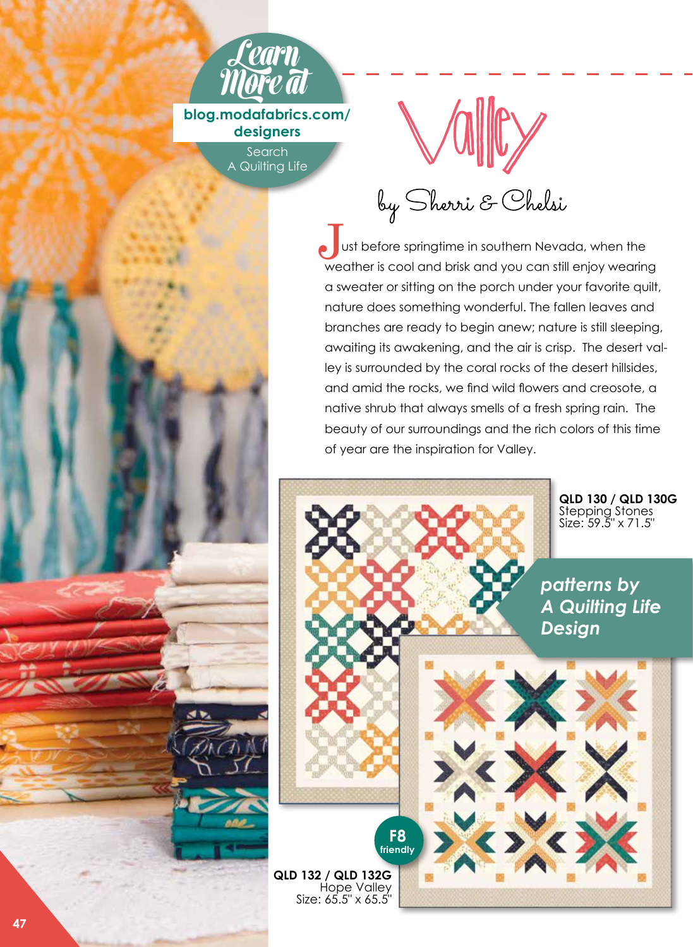

**blog.modafabrics.com/ designers**

> **Search** A Quilting Life



by Sherri & Chelsi

ust before springtime in southern Nevada, when the Ust before springtime in southern Nevada, when the<br>weather is cool and brisk and you can still enjoy wearing a sweater or sitting on the porch under your favorite quilt, nature does something wonderful. The fallen leaves and branches are ready to begin anew; nature is still sleeping, awaiting its awakening, and the air is crisp. The desert valley is surrounded by the coral rocks of the desert hillsides, and amid the rocks, we find wild flowers and creosote, a native shrub that always smells of a fresh spring rain. The beauty of our surroundings and the rich colors of this time of year are the inspiration for Valley.

> **QLD 130 / QLD 130G**  Stepping Stones Size: 59.5" x 71.5"

*patterns by A Quilting Life Design*

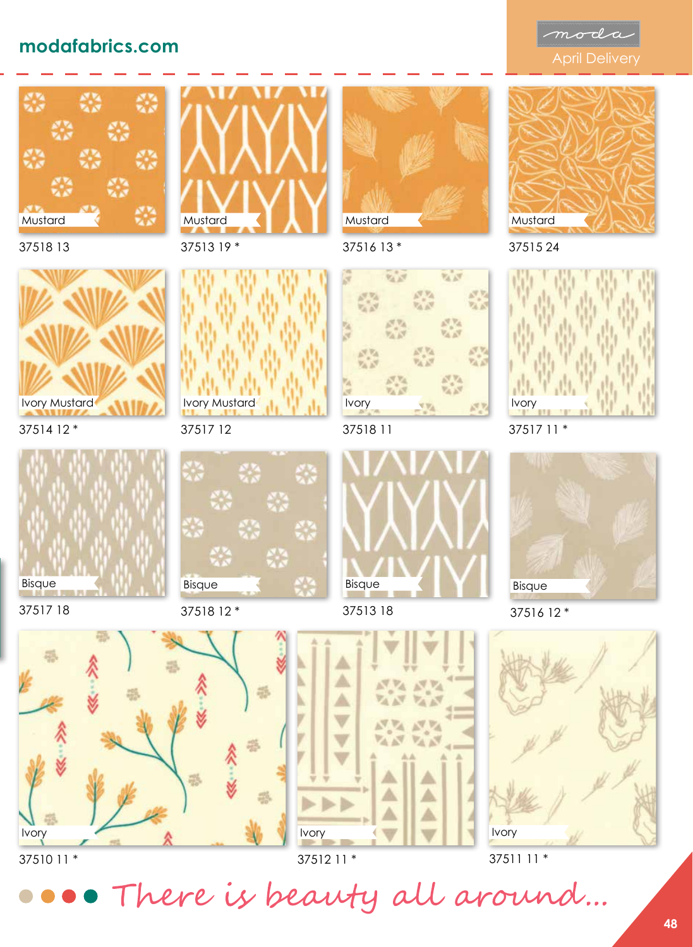## modafabrics.com<br>
April Delivery





37518 13



37514 12 \*



37517 18



37513 19 \*









37518 11

37516 13 \*

 $\mathbb{Z}^{\mathbb{Z}}$ 

**AN** 

 $\overline{V_1}$ 

 $V_{\Delta}$  and

医成

Mustard

Ivory

37513 18



37515 24



37517 11 \*



37516 12 \*







## 37510 11 \*

37512 11 \*

37511 11 \*

• There is beauty all around...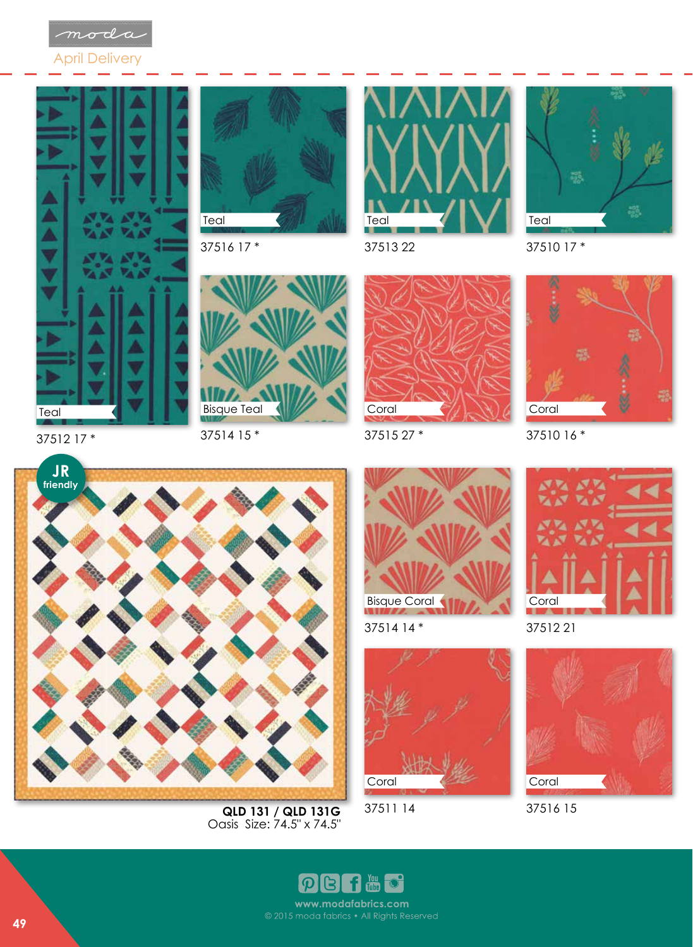





37516 17 \*





37510 17 \*



Bisque Teal

37512 17 \*

37514 15 \*



37515 27 \*



37510 16 \*



**QLD 131 / QLD 131G**  Oasis Size: 74.5" x 74.5"



37514 14 \*



37511 14



37512 21



37516 15